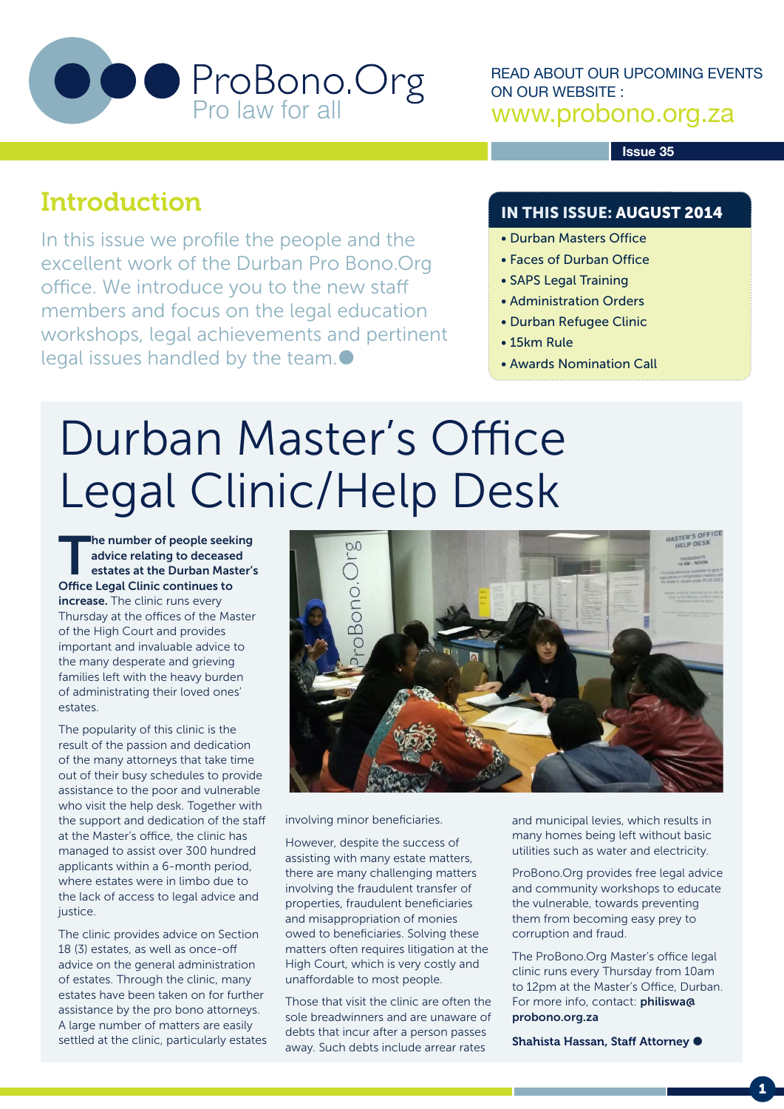

READ ABOUT OUR UPCOMING EVENTS ON OUR WEBSITE : www.probono.org.za

**Issue 35**

### Introduction

In this issue we profile the people and the excellent work of the Durban Pro Bono.Org office. We introduce you to the new staff members and focus on the legal education workshops, legal achievements and pertinent legal issues handled by the team.

### IN THIS ISSUE: AUGUST 2014

- Durban Masters Office
- Faces of Durban Office
- SAPS Legal Training
- Administration Orders
- Durban Refugee Clinic
- 15km Rule
- Awards Nomination Call

# Durban Master's Office Legal Clinic/Help Desk

The number of people seeking advice relating to deceased estates at the Durban Master's Office Legal Clinic continues to increase. The clinic runs every Thursday at the offices of the Master of the High Court and provides important and invaluable advice to the many desperate and grieving families left with the heavy burden of administrating their loved ones' estates.

The popularity of this clinic is the result of the passion and dedication of the many attorneys that take time out of their busy schedules to provide assistance to the poor and vulnerable who visit the help desk. Together with the support and dedication of the staff at the Master's office, the clinic has managed to assist over 300 hundred applicants within a 6-month period, where estates were in limbo due to the lack of access to legal advice and justice.

The clinic provides advice on Section 18 (3) estates, as well as once-off advice on the general administration of estates. Through the clinic, many estates have been taken on for further assistance by the pro bono attorneys. A large number of matters are easily settled at the clinic, particularly estates



involving minor beneficiaries.

However, despite the success of assisting with many estate matters, there are many challenging matters involving the fraudulent transfer of properties, fraudulent beneficiaries and misappropriation of monies owed to beneficiaries. Solving these matters often requires litigation at the High Court, which is very costly and unaffordable to most people.

Those that visit the clinic are often the sole breadwinners and are unaware of debts that incur after a person passes away. Such debts include arrear rates

and municipal levies, which results in many homes being left without basic utilities such as water and electricity.

ProBono.Org provides free legal advice and community workshops to educate the vulnerable, towards preventing them from becoming easy prey to corruption and fraud.

The ProBono.Org Master's office legal clinic runs every Thursday from 10am to 12pm at the Master's Office, Durban. For more info, contact: **philiswa@** probono.org.za

Shahista Hassan, Staff Attorney <sup>.</sup>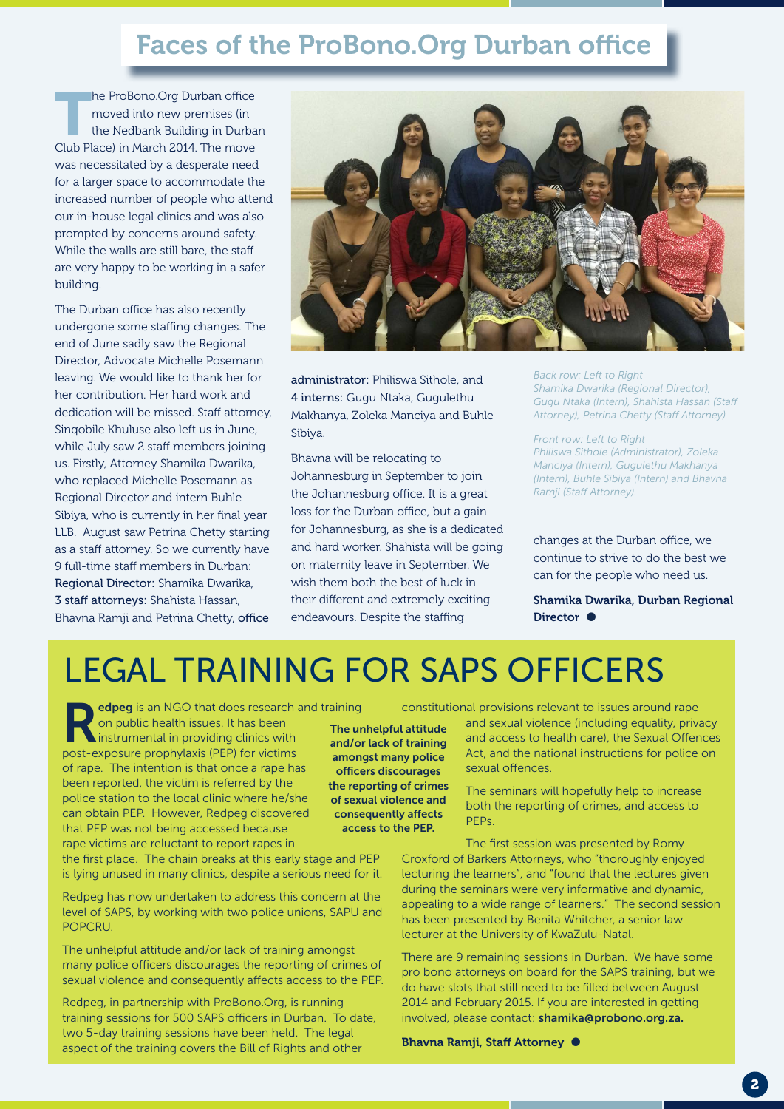## Faces of the ProBono.Org Durban office

he ProBono.Org Durban office moved into new premises (in the Nedbank Building in Durban Club Place) in March 2014. The move was necessitated by a desperate need for a larger space to accommodate the increased number of people who attend our in-house legal clinics and was also prompted by concerns around safety. While the walls are still bare, the staff are very happy to be working in a safer building.

The Durban office has also recently undergone some staffing changes. The end of June sadly saw the Regional Director, Advocate Michelle Posemann leaving. We would like to thank her for her contribution. Her hard work and dedication will be missed. Staff attorney, Sinqobile Khuluse also left us in June, while July saw 2 staff members joining us. Firstly, Attorney Shamika Dwarika, who replaced Michelle Posemann as Regional Director and intern Buhle Sibiya, who is currently in her final year LLB. August saw Petrina Chetty starting as a staff attorney. So we currently have 9 full-time staff members in Durban: Regional Director: Shamika Dwarika, 3 staff attorneys: Shahista Hassan, Bhavna Ramji and Petrina Chetty, office



administrator: Philiswa Sithole, and 4 interns: Gugu Ntaka, Gugulethu Makhanya, Zoleka Manciya and Buhle Sibiya.

Bhavna will be relocating to Johannesburg in September to join the Johannesburg office. It is a great loss for the Durban office, but a gain for Johannesburg, as she is a dedicated and hard worker. Shahista will be going on maternity leave in September. We wish them both the best of luck in their different and extremely exciting endeavours. Despite the staffing

*Back row: Left to Right Shamika Dwarika (Regional Director), Gugu Ntaka (Intern), Shahista Hassan (Staff Attorney), Petrina Chetty (Staff Attorney)*

*Front row: Left to Right Philiswa Sithole (Administrator), Zoleka Manciya (Intern), Gugulethu Makhanya (Intern), Buhle Sibiya (Intern) and Bhavna Ramji (Staff Attorney).* 

changes at the Durban office, we continue to strive to do the best we can for the people who need us.

Shamika Dwarika, Durban Regional Director  $\bullet$ 

## LEGAL TRAINING FOR SAPS OFFICERS

edpeg is an NGO that does research and training on public health issues. It has been instrumental in providing clinics with post-exposure prophylaxis (PEP) for victims of rape. The intention is that once a rape has been reported, the victim is referred by the police station to the local clinic where he/she can obtain PEP. However, Redpeg discovered that PEP was not being accessed because rape victims are reluctant to report rapes in

the first place. The chain breaks at this early stage and PEP is lying unused in many clinics, despite a serious need for it.

Redpeg has now undertaken to address this concern at the level of SAPS, by working with two police unions, SAPU and POPCRU.

The unhelpful attitude and/or lack of training amongst many police officers discourages the reporting of crimes of sexual violence and consequently affects access to the PEP.

Redpeg, in partnership with ProBono.Org, is running training sessions for 500 SAPS officers in Durban. To date, two 5-day training sessions have been held. The legal aspect of the training covers the Bill of Rights and other

The unhelpful attitude and/or lack of training amongst many police officers discourages the reporting of crimes of sexual violence and consequently affects access to the PEP.

constitutional provisions relevant to issues around rape and sexual violence (including equality, privacy and access to health care), the Sexual Offences Act, and the national instructions for police on sexual offences.

> The seminars will hopefully help to increase both the reporting of crimes, and access to PEPs.

The first session was presented by Romy Croxford of Barkers Attorneys, who "thoroughly enjoyed lecturing the learners", and "found that the lectures given during the seminars were very informative and dynamic, appealing to a wide range of learners." The second session has been presented by Benita Whitcher, a senior law lecturer at the University of KwaZulu-Natal.

There are 9 remaining sessions in Durban. We have some pro bono attorneys on board for the SAPS training, but we do have slots that still need to be filled between August 2014 and February 2015. If you are interested in getting involved, please contact: shamika@probono.org.za.

Bhavna Ramji, Staff Attorney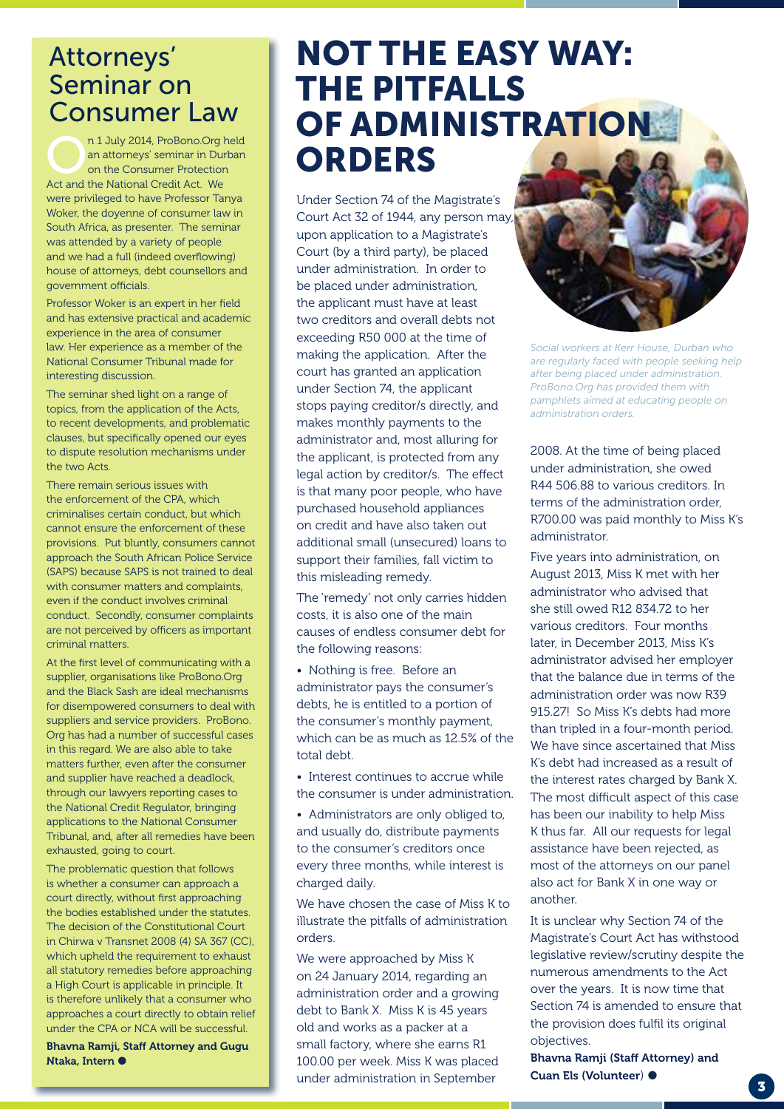### Attorneys' Seminar on Consumer Law

n 1 July 2014, ProBono.Org held<br>an attorneys' seminar in Durban<br>on the Consumer Protection<br>Act and the Mational Crodit Act, We an attorneys' seminar in Durban on the Consumer Protection Act and the National Credit Act. We were privileged to have Professor Tanya Woker, the doyenne of consumer law in South Africa, as presenter. The seminar was attended by a variety of people and we had a full (indeed overflowing) house of attorneys, debt counsellors and government officials.

Professor Woker is an expert in her field and has extensive practical and academic experience in the area of consumer law. Her experience as a member of the National Consumer Tribunal made for interesting discussion.

The seminar shed light on a range of topics, from the application of the Acts, to recent developments, and problematic clauses, but specifically opened our eyes to dispute resolution mechanisms under the two Acts.

There remain serious issues with the enforcement of the CPA, which criminalises certain conduct, but which cannot ensure the enforcement of these provisions. Put bluntly, consumers cannot approach the South African Police Service (SAPS) because SAPS is not trained to deal with consumer matters and complaints, even if the conduct involves criminal conduct. Secondly, consumer complaints are not perceived by officers as important criminal matters.

At the first level of communicating with a supplier, organisations like ProBono.Org and the Black Sash are ideal mechanisms for disempowered consumers to deal with suppliers and service providers. ProBono. Org has had a number of successful cases in this regard. We are also able to take matters further, even after the consumer and supplier have reached a deadlock, through our lawyers reporting cases to the National Credit Regulator, bringing applications to the National Consumer Tribunal, and, after all remedies have been exhausted, going to court.

The problematic question that follows is whether a consumer can approach a court directly, without first approaching the bodies established under the statutes. The decision of the Constitutional Court in Chirwa v Transnet 2008 (4) SA 367 (CC), which upheld the requirement to exhaust all statutory remedies before approaching a High Court is applicable in principle. It is therefore unlikely that a consumer who approaches a court directly to obtain relief under the CPA or NCA will be successful.

Bhavna Ramji, Staff Attorney and Gugu Ntaka, Intern

## NOT THE EASY WAY: THE PITFALLS OF ADMINISTRATION ORDERS

Under Section 74 of the Magistrate's Court Act 32 of 1944, any person may, upon application to a Magistrate's Court (by a third party), be placed under administration. In order to be placed under administration, the applicant must have at least two creditors and overall debts not exceeding R50 000 at the time of making the application. After the court has granted an application under Section 74, the applicant stops paying creditor/s directly, and makes monthly payments to the administrator and, most alluring for the applicant, is protected from any legal action by creditor/s. The effect is that many poor people, who have purchased household appliances on credit and have also taken out additional small (unsecured) loans to support their families, fall victim to this misleading remedy.

The 'remedy' not only carries hidden costs, it is also one of the main causes of endless consumer debt for the following reasons:

• Nothing is free. Before an administrator pays the consumer's debts, he is entitled to a portion of the consumer's monthly payment, which can be as much as 12.5% of the total debt.

• Interest continues to accrue while the consumer is under administration.

• Administrators are only obliged to, and usually do, distribute payments to the consumer's creditors once every three months, while interest is charged daily.

We have chosen the case of Miss K to illustrate the pitfalls of administration orders.

We were approached by Miss K on 24 January 2014, regarding an administration order and a growing debt to Bank X. Miss K is 45 years old and works as a packer at a small factory, where she earns R1 100.00 per week. Miss K was placed under administration in September

*Social workers at Kerr House, Durban who* 

*are regularly faced with people seeking help after being placed under administration. ProBono.Org has provided them with pamphlets aimed at educating people on administration orders.*

2008. At the time of being placed under administration, she owed R44 506.88 to various creditors. In terms of the administration order, R700.00 was paid monthly to Miss K's administrator.

Five years into administration, on August 2013, Miss K met with her administrator who advised that she still owed R12 834.72 to her various creditors. Four months later, in December 2013, Miss K's administrator advised her employer that the balance due in terms of the administration order was now R39 915.27! So Miss K's debts had more than tripled in a four-month period. We have since ascertained that Miss K's debt had increased as a result of the interest rates charged by Bank X. The most difficult aspect of this case has been our inability to help Miss K thus far. All our requests for legal assistance have been rejected, as most of the attorneys on our panel also act for Bank X in one way or another.

It is unclear why Section 74 of the Magistrate's Court Act has withstood legislative review/scrutiny despite the numerous amendments to the Act over the years. It is now time that Section 74 is amended to ensure that the provision does fulfil its original objectives.

Bhavna Ramji (Staff Attorney) and Cuan Els (Volunteer)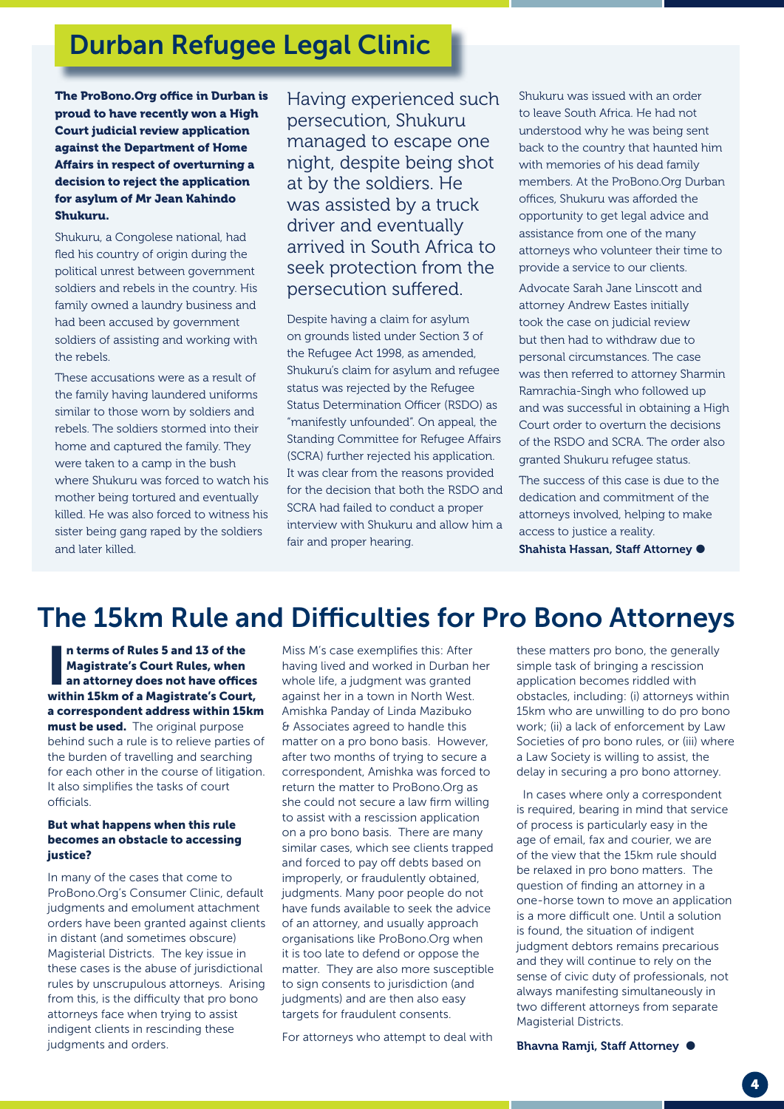## Durban Refugee Legal Clinic

The ProBono.Org office in Durban is proud to have recently won a High Court judicial review application against the Department of Home Affairs in respect of overturning a decision to reject the application for asylum of Mr Jean Kahindo Shukuru.

Shukuru, a Congolese national, had fled his country of origin during the political unrest between government soldiers and rebels in the country. His family owned a laundry business and had been accused by government soldiers of assisting and working with the rebels.

These accusations were as a result of the family having laundered uniforms similar to those worn by soldiers and rebels. The soldiers stormed into their home and captured the family. They were taken to a camp in the bush where Shukuru was forced to watch his mother being tortured and eventually killed. He was also forced to witness his sister being gang raped by the soldiers and later killed.

Having experienced such persecution, Shukuru managed to escape one night, despite being shot at by the soldiers. He was assisted by a truck driver and eventually arrived in South Africa to seek protection from the persecution suffered.

Despite having a claim for asylum on grounds listed under Section 3 of the Refugee Act 1998, as amended, Shukuru's claim for asylum and refugee status was rejected by the Refugee Status Determination Officer (RSDO) as "manifestly unfounded". On appeal, the Standing Committee for Refugee Affairs (SCRA) further rejected his application. It was clear from the reasons provided for the decision that both the RSDO and SCRA had failed to conduct a proper interview with Shukuru and allow him a fair and proper hearing.

Shukuru was issued with an order to leave South Africa. He had not understood why he was being sent back to the country that haunted him with memories of his dead family members. At the ProBono.Org Durban offices, Shukuru was afforded the opportunity to get legal advice and assistance from one of the many attorneys who volunteer their time to provide a service to our clients.

Advocate Sarah Jane Linscott and attorney Andrew Eastes initially took the case on judicial review but then had to withdraw due to personal circumstances. The case was then referred to attorney Sharmin Ramrachia-Singh who followed up and was successful in obtaining a High Court order to overturn the decisions of the RSDO and SCRA. The order also granted Shukuru refugee status.

The success of this case is due to the dedication and commitment of the attorneys involved, helping to make access to justice a reality.

Shahista Hassan, Staff Attorney <sup>.</sup>

## The 15km Rule and Difficulties for Pro Bono Attorneys

In terms of Rules 5 and 13 of the<br>Magistrate's Court Rules, when<br>an attorney does not have offices<br>within 15km of a Magistrate's Court, n terms of Rules 5 and 13 of the Magistrate's Court Rules, when an attorney does not have offices a correspondent address within 15km must be used. The original purpose behind such a rule is to relieve parties of the burden of travelling and searching for each other in the course of litigation. It also simplifies the tasks of court officials.

### But what happens when this rule becomes an obstacle to accessing justice?

In many of the cases that come to ProBono.Org's Consumer Clinic, default judgments and emolument attachment orders have been granted against clients in distant (and sometimes obscure) Magisterial Districts. The key issue in these cases is the abuse of jurisdictional rules by unscrupulous attorneys. Arising from this, is the difficulty that pro bono attorneys face when trying to assist indigent clients in rescinding these judgments and orders.

Miss M's case exemplifies this: After having lived and worked in Durban her whole life, a judgment was granted against her in a town in North West. Amishka Panday of Linda Mazibuko & Associates agreed to handle this matter on a pro bono basis. However, after two months of trying to secure a correspondent, Amishka was forced to return the matter to ProBono.Org as she could not secure a law firm willing to assist with a rescission application on a pro bono basis. There are many similar cases, which see clients trapped and forced to pay off debts based on improperly, or fraudulently obtained, judgments. Many poor people do not have funds available to seek the advice of an attorney, and usually approach organisations like ProBono.Org when it is too late to defend or oppose the matter. They are also more susceptible to sign consents to jurisdiction (and judgments) and are then also easy targets for fraudulent consents.

For attorneys who attempt to deal with

these matters pro bono, the generally simple task of bringing a rescission application becomes riddled with obstacles, including: (i) attorneys within 15km who are unwilling to do pro bono work; (ii) a lack of enforcement by Law Societies of pro bono rules, or (iii) where a Law Society is willing to assist, the delay in securing a pro bono attorney.

 In cases where only a correspondent is required, bearing in mind that service of process is particularly easy in the age of email, fax and courier, we are of the view that the 15km rule should be relaxed in pro bono matters. The question of finding an attorney in a one-horse town to move an application is a more difficult one. Until a solution is found, the situation of indigent judgment debtors remains precarious and they will continue to rely on the sense of civic duty of professionals, not always manifesting simultaneously in two different attorneys from separate Magisterial Districts.

Bhavna Ramji, Staff Attorney <sup>.</sup>